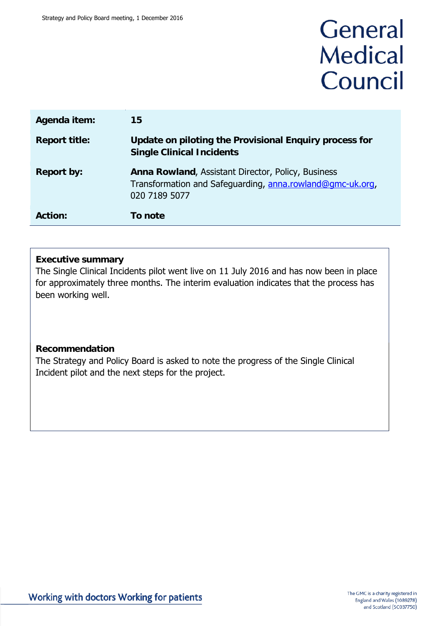# General **Medical** Council

| Agenda item:         | 15                                                                                                                                      |
|----------------------|-----------------------------------------------------------------------------------------------------------------------------------------|
| <b>Report title:</b> | Update on piloting the Provisional Enquiry process for<br><b>Single Clinical Incidents</b>                                              |
| <b>Report by:</b>    | <b>Anna Rowland, Assistant Director, Policy, Business</b><br>Transformation and Safeguarding, anna.rowland@gmc-uk.org,<br>020 7189 5077 |
| <b>Action:</b>       | To note                                                                                                                                 |

## **Executive summary**

The Single Clinical Incidents pilot went live on 11 July 2016 and has now been in place for approximately three months. The interim evaluation indicates that the process has been working well.

## **Recommendation**

The Strategy and Policy Board is asked to note the progress of the Single Clinical Incident pilot and the next steps for the project.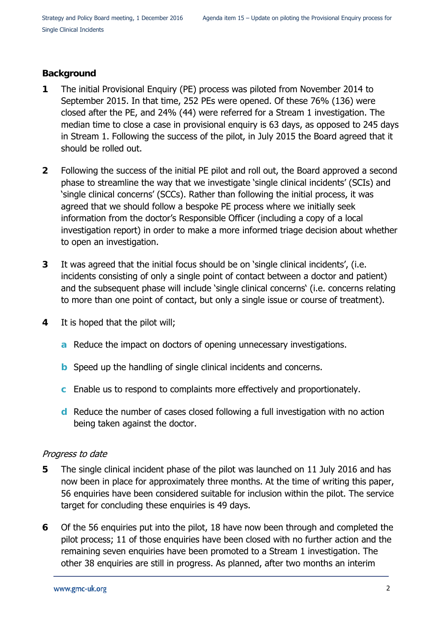## **Background**

- **1** The initial Provisional Enquiry (PE) process was piloted from November 2014 to September 2015. In that time, 252 PEs were opened. Of these 76% (136) were closed after the PE, and 24% (44) were referred for a Stream 1 investigation. The median time to close a case in provisional enquiry is 63 days, as opposed to 245 days in Stream 1. Following the success of the pilot, in July 2015 the Board agreed that it should be rolled out.
- **2** Following the success of the initial PE pilot and roll out, the Board approved a second phase to streamline the way that we investigate 'single clinical incidents' (SCIs) and 'single clinical concerns' (SCCs). Rather than following the initial process, it was agreed that we should follow a bespoke PE process where we initially seek information from the doctor's Responsible Officer (including a copy of a local investigation report) in order to make a more informed triage decision about whether to open an investigation.
- **3** It was agreed that the initial focus should be on 'single clinical incidents', (i.e. incidents consisting of only a single point of contact between a doctor and patient) and the subsequent phase will include 'single clinical concerns' (i.e. concerns relating to more than one point of contact, but only a single issue or course of treatment).
- **4** It is hoped that the pilot will;
	- **a** Reduce the impact on doctors of opening unnecessary investigations.
	- **b** Speed up the handling of single clinical incidents and concerns.
	- **c** Enable us to respond to complaints more effectively and proportionately.
	- **d** Reduce the number of cases closed following a full investigation with no action being taken against the doctor.

## Progress to date

- **5** The single clinical incident phase of the pilot was launched on 11 July 2016 and has now been in place for approximately three months. At the time of writing this paper, 56 enquiries have been considered suitable for inclusion within the pilot. The service target for concluding these enquiries is 49 days.
- **6** Of the 56 enquiries put into the pilot, 18 have now been through and completed the pilot process; 11 of those enquiries have been closed with no further action and the remaining seven enquiries have been promoted to a Stream 1 investigation. The other 38 enquiries are still in progress. As planned, after two months an interim